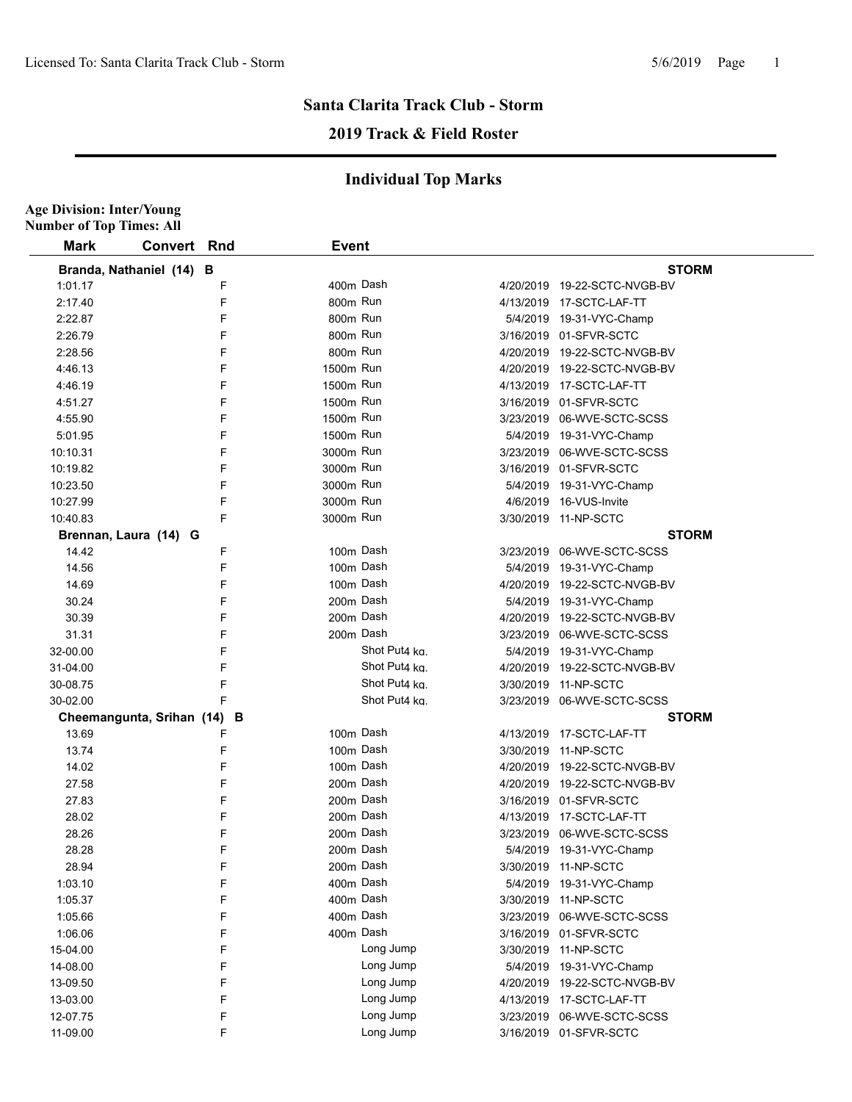### **Santa Clarita Track Club - Storm 2019 Track & Field Roster**

#### **Individual Top Marks**

| <b>Age Division: Inter/Young</b><br><b>Number of Top Times: All</b> |                             |   |              |               |          |                              |  |
|---------------------------------------------------------------------|-----------------------------|---|--------------|---------------|----------|------------------------------|--|
| Mark                                                                | <b>Convert Rnd</b>          |   | <b>Event</b> |               |          |                              |  |
|                                                                     | Branda, Nathaniel (14) B    |   |              |               |          | <b>STORM</b>                 |  |
| 1:01.17                                                             |                             | F |              | 400m Dash     |          | 4/20/2019 19-22-SCTC-NVGB-BV |  |
| 2:17.40                                                             |                             | F | 800m Run     |               |          | 4/13/2019 17-SCTC-LAF-TT     |  |
| 2:22.87                                                             |                             | F | 800m Run     |               |          | 5/4/2019 19-31-VYC-Champ     |  |
| 2:26.79                                                             |                             | F | 800m Run     |               |          | 3/16/2019 01-SFVR-SCTC       |  |
| 2:28.56                                                             |                             | F | 800m Run     |               |          | 4/20/2019 19-22-SCTC-NVGB-BV |  |
| 4:46.13                                                             |                             | F | 1500m Run    |               |          | 4/20/2019 19-22-SCTC-NVGB-BV |  |
| 4:46.19                                                             |                             | F | 1500m Run    |               |          | 4/13/2019 17-SCTC-LAF-TT     |  |
| 4:51.27                                                             |                             | F | 1500m Run    |               |          | 3/16/2019 01-SFVR-SCTC       |  |
| 4:55.90                                                             |                             | F | 1500m Run    |               |          | 3/23/2019 06-WVE-SCTC-SCSS   |  |
| 5:01.95                                                             |                             | F | 1500m Run    |               |          | 5/4/2019 19-31-VYC-Champ     |  |
| 10:10.31                                                            |                             | F | 3000m Run    |               |          | 3/23/2019 06-WVE-SCTC-SCSS   |  |
| 10:19.82                                                            |                             | F | 3000m Run    |               |          | 3/16/2019 01-SFVR-SCTC       |  |
| 10:23.50                                                            |                             | F | 3000m Run    |               |          | 5/4/2019 19-31-VYC-Champ     |  |
| 10:27.99                                                            |                             | F | 3000m Run    |               |          | 4/6/2019 16-VUS-Invite       |  |
| 10:40.83                                                            |                             | F | 3000m Run    |               |          | 3/30/2019 11-NP-SCTC         |  |
|                                                                     | Brennan, Laura (14) G       |   |              |               |          | <b>STORM</b>                 |  |
| 14.42                                                               |                             | F |              | 100m Dash     |          | 3/23/2019 06-WVE-SCTC-SCSS   |  |
| 14.56                                                               |                             | F |              | 100m Dash     |          | 5/4/2019 19-31-VYC-Champ     |  |
| 14.69                                                               |                             | F |              | 100m Dash     |          | 4/20/2019 19-22-SCTC-NVGB-BV |  |
| 30.24                                                               |                             | F |              | 200m Dash     |          | 5/4/2019 19-31-VYC-Champ     |  |
| 30.39                                                               |                             | F |              | 200m Dash     |          | 4/20/2019 19-22-SCTC-NVGB-BV |  |
| 31.31                                                               |                             | F |              | 200m Dash     |          | 3/23/2019 06-WVE-SCTC-SCSS   |  |
| 32-00.00                                                            |                             | F |              | Shot Put4 ka. |          | 5/4/2019 19-31-VYC-Champ     |  |
| 31-04.00                                                            |                             | F |              | Shot Put4 ka. |          | 4/20/2019 19-22-SCTC-NVGB-BV |  |
| 30-08.75                                                            |                             | F |              | Shot Put4 ka. |          | 3/30/2019 11-NP-SCTC         |  |
| 30-02.00                                                            |                             | F |              | Shot Put4 kg. |          | 3/23/2019 06-WVE-SCTC-SCSS   |  |
|                                                                     | Cheemangunta, Srihan (14) B |   |              |               |          | <b>STORM</b>                 |  |
| 13.69                                                               |                             | F |              | 100m Dash     |          | 4/13/2019    17-SCTC-LAF-TT  |  |
| 13.74                                                               |                             | F |              | 100m Dash     |          | 3/30/2019 11-NP-SCTC         |  |
| 14.02                                                               |                             | F |              | 100m Dash     |          | 4/20/2019 19-22-SCTC-NVGB-BV |  |
| 27.58                                                               |                             | F |              | 200m Dash     |          | 4/20/2019 19-22-SCTC-NVGB-BV |  |
| 27.83                                                               |                             | F |              | 200m Dash     |          | 3/16/2019 01-SFVR-SCTC       |  |
| 28.02                                                               |                             | F |              | 200m Dash     |          | 4/13/2019  17-SCTC-LAF-TT    |  |
| 28.26                                                               |                             | F |              | 200m Dash     |          | 3/23/2019 06-WVE-SCTC-SCSS   |  |
| 28.28                                                               |                             | F |              | 200m Dash     | 5/4/2019 | 19-31-VYC-Champ              |  |
| 28.94                                                               |                             | F |              | 200m Dash     |          | 3/30/2019 11-NP-SCTC         |  |
| 1:03.10                                                             |                             | F |              | 400m Dash     | 5/4/2019 | 19-31-VYC-Champ              |  |
| 1:05.37                                                             |                             | F |              | 400m Dash     |          | 3/30/2019 11-NP-SCTC         |  |
| 1:05.66                                                             |                             | F |              | 400m Dash     |          | 3/23/2019 06-WVE-SCTC-SCSS   |  |
| 1:06.06                                                             |                             | F |              | 400m Dash     |          | 3/16/2019 01-SFVR-SCTC       |  |
| 15-04.00                                                            |                             | F |              | Long Jump     |          | 3/30/2019 11-NP-SCTC         |  |
| 14-08.00                                                            |                             | F |              | Long Jump     |          | 5/4/2019 19-31-VYC-Champ     |  |
| 13-09.50                                                            |                             | F |              | Long Jump     |          | 4/20/2019 19-22-SCTC-NVGB-BV |  |
| 13-03.00                                                            |                             | F |              | Long Jump     |          | 4/13/2019 17-SCTC-LAF-TT     |  |
| 12-07.75                                                            |                             | F |              | Long Jump     |          | 3/23/2019 06-WVE-SCTC-SCSS   |  |
| 11-09.00                                                            |                             | F |              | Long Jump     |          | 3/16/2019 01-SFVR-SCTC       |  |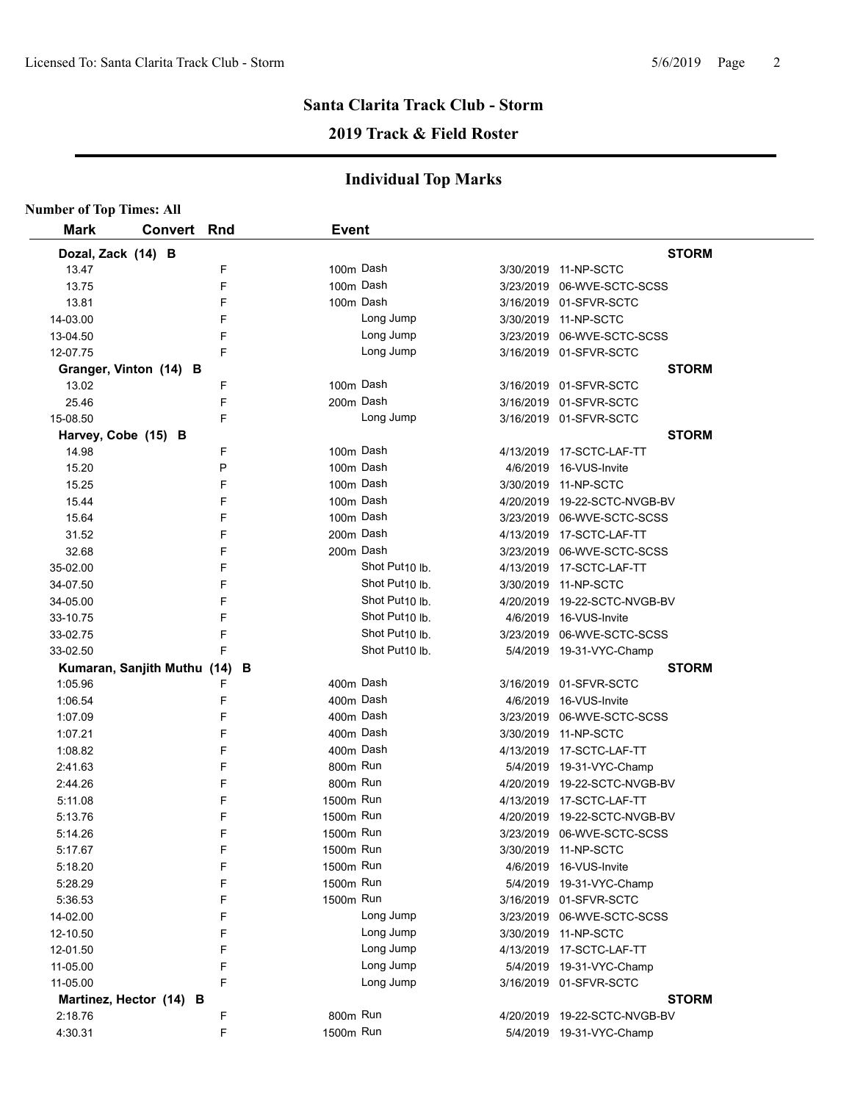# **Santa Clarita Track Club - Storm**

#### **2019 Track & Field Roster**

#### **Individual Top Marks**

| <b>Number of Top Times: All</b> |                             |     |              |                            |          |                              |
|---------------------------------|-----------------------------|-----|--------------|----------------------------|----------|------------------------------|
| <b>Mark</b>                     | <b>Convert</b>              | Rnd | <b>Event</b> |                            |          |                              |
| Dozal, Zack (14) B              |                             |     |              |                            |          | <b>STORM</b>                 |
| 13.47                           |                             | F   |              | 100m Dash                  |          | 3/30/2019 11-NP-SCTC         |
| 13.75                           |                             | F   |              | 100m Dash                  |          | 3/23/2019 06-WVE-SCTC-SCSS   |
| 13.81                           |                             | F   |              | 100m Dash                  |          | 3/16/2019 01-SFVR-SCTC       |
| 14-03.00                        |                             | F   |              | Long Jump                  |          | 3/30/2019 11-NP-SCTC         |
| 13-04.50                        |                             | F   |              | Long Jump                  |          | 3/23/2019 06-WVE-SCTC-SCSS   |
| 12-07.75                        |                             | F   |              | Long Jump                  |          | 3/16/2019 01-SFVR-SCTC       |
|                                 | Granger, Vinton (14) B      |     |              |                            |          | <b>STORM</b>                 |
| 13.02                           |                             | F   |              | 100m Dash                  |          | 3/16/2019 01-SFVR-SCTC       |
| 25.46                           |                             | F   |              | 200m Dash                  |          | 3/16/2019 01-SFVR-SCTC       |
| 15-08.50                        |                             | F   |              | Long Jump                  |          | 3/16/2019 01-SFVR-SCTC       |
|                                 | Harvey, Cobe (15) B         |     |              |                            |          | <b>STORM</b>                 |
| 14.98                           |                             | F   |              | 100m Dash                  |          | 4/13/2019 17-SCTC-LAF-TT     |
| 15.20                           |                             | P   |              | 100m Dash                  |          | 4/6/2019 16-VUS-Invite       |
| 15.25                           |                             | F   |              | 100m Dash                  |          | 3/30/2019 11-NP-SCTC         |
| 15.44                           |                             | F   |              | 100m Dash                  |          | 4/20/2019 19-22-SCTC-NVGB-BV |
| 15.64                           |                             | F   |              | 100m Dash                  |          | 3/23/2019 06-WVE-SCTC-SCSS   |
| 31.52                           |                             | F   |              | 200m Dash                  |          | 4/13/2019 17-SCTC-LAF-TT     |
| 32.68                           |                             | F   |              | 200m Dash                  |          | 3/23/2019 06-WVE-SCTC-SCSS   |
| 35-02.00                        |                             | F   |              | Shot Put10 lb.             |          | 4/13/2019 17-SCTC-LAF-TT     |
| 34-07.50                        |                             | F   |              | Shot Put10 lb.             |          | 3/30/2019 11-NP-SCTC         |
| 34-05.00                        |                             | F   |              | Shot Put10 lb.             |          | 4/20/2019 19-22-SCTC-NVGB-BV |
| 33-10.75                        |                             | F   |              | Shot Put <sub>10</sub> lb. | 4/6/2019 | 16-VUS-Invite                |
| 33-02.75                        |                             | F   |              | Shot Put <sub>10</sub> lb. |          | 3/23/2019 06-WVE-SCTC-SCSS   |
| 33-02.50                        |                             | F   |              | Shot Put <sub>10</sub> lb. |          | 5/4/2019 19-31-VYC-Champ     |
|                                 | Kumaran, Sanjith Muthu (14) | В   |              |                            |          | <b>STORM</b>                 |
| 1:05.96                         |                             | F   |              | 400m Dash                  |          | 3/16/2019 01-SFVR-SCTC       |
| 1:06.54                         |                             | F   |              | 400m Dash                  |          | 4/6/2019 16-VUS-Invite       |
| 1:07.09                         |                             | F   |              | 400m Dash                  |          | 3/23/2019 06-WVE-SCTC-SCSS   |
| 1:07.21                         |                             | F   |              | 400m Dash                  |          | 3/30/2019 11-NP-SCTC         |
| 1:08.82                         |                             | F   |              | 400m Dash                  |          | 4/13/2019 17-SCTC-LAF-TT     |
| 2:41.63                         |                             | F   | 800m Run     |                            |          | 5/4/2019 19-31-VYC-Champ     |
| 2:44.26                         |                             | F   | 800m Run     |                            |          | 4/20/2019 19-22-SCTC-NVGB-BV |
| 5:11.08                         |                             | F   | 1500m Run    |                            |          | 4/13/2019 17-SCTC-LAF-TT     |
| 5:13.76                         |                             | F   | 1500m Run    |                            |          | 4/20/2019 19-22-SCTC-NVGB-BV |
| 5.14.26                         |                             | F   | 1500m Run    |                            |          | 3/23/2019 06-WVE-SCTC-SCSS   |
| 5:17.67                         |                             | F   | 1500m Run    |                            |          | 3/30/2019 11-NP-SCTC         |
| 5:18.20                         |                             | F   | 1500m Run    |                            |          | 4/6/2019 16-VUS-Invite       |
| 5:28.29                         |                             | F   | 1500m Run    |                            |          | 5/4/2019 19-31-VYC-Champ     |
| 5:36.53                         |                             | F   | 1500m Run    |                            |          | 3/16/2019 01-SFVR-SCTC       |
| 14-02.00                        |                             | F   |              | Long Jump                  |          | 3/23/2019 06-WVE-SCTC-SCSS   |
| 12-10.50                        |                             | F   |              | Long Jump                  |          | 3/30/2019 11-NP-SCTC         |
| 12-01.50                        |                             | F   |              | Long Jump                  |          | 4/13/2019 17-SCTC-LAF-TT     |
| 11-05.00                        |                             | F   |              | Long Jump                  |          | 5/4/2019 19-31-VYC-Champ     |
| 11-05.00                        |                             | F   |              | Long Jump                  |          | 3/16/2019 01-SFVR-SCTC       |
|                                 | Martinez, Hector (14) B     |     |              |                            |          | <b>STORM</b>                 |
| 2:18.76                         |                             | F   | 800m Run     |                            |          | 4/20/2019 19-22-SCTC-NVGB-BV |
| 4:30.31                         |                             | F   | 1500m Run    |                            |          | 5/4/2019 19-31-VYC-Champ     |
|                                 |                             |     |              |                            |          |                              |